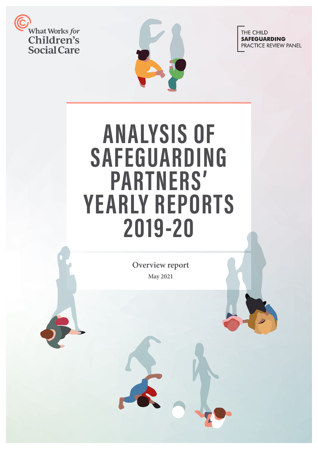



THE CHILD **SAFEGUARDING** PRACTICE REVIEW PANEL

# **ANALYSIS OF SAFEGUARDING PARTNERS' YE ARLY REPORTS 2019-20**

**Overview report May 2021**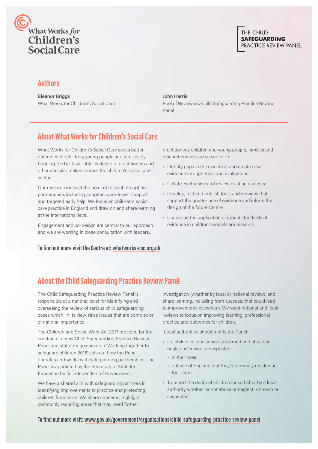

# **Authors**

**Eleanor Briggs**  What Works for Children's Social Care

#### **John Harris**

Pool of Reviewers: Child Safeguarding Practice Review Panel

# **About What Works for Children's Social Care**

What Works for Children's Social Care seeks better outcomes for children, young people and families by bringing the best available evidence to practitioners and other decision makers across the children's social care sector.

Our research looks at the point of referral through to permanence, including adoption, care-leaver support and targeted early help. We focus on children's social care practice in England and draw on and share learning at the international level.

Engagement and co-design are central to our approach and we are working in close consultation with leaders,

## **To find out more visit the Centre at: [whatworks-csc.org.uk](http://whatworks-csc.org.uk)**

practitioners, children and young people, families and researchers across the sector to:

- Identify gaps in the evidence, and create new evidence through trials and evaluations
- Collate, synthesise and review existing evidence
- Develop, test and publish tools and services that support the greater use of evidence and inform the design of the future Centre
- Champion the application of robust standards of evidence in children's social care research.

# **About the Child Safeguarding Practice Review Panel**

The Child Safeguarding Practice Review Panel is responsible at a national level for identifying and overseeing the review of serious child safeguarding cases which, in its view, raise issues that are complex or of national importance.

The Children and Social Work Act 2017 provided for the creation of a new Child Safeguarding Practice Review Panel and statutory guidance on 'Working together to safeguard children 2018' sets out how the Panel operates and works with safeguarding partnerships. The Panel is appointed by the Secretary of State for Education but is independent of Government.

We have a shared aim with safeguarding partners in identifying improvements to practice and protecting children from harm. We share concerns, highlight commonly recurring areas that may need further

investigation (whether by local or national review), and share learning, including from success, that could lead to improvements elsewhere. We want national and local reviews to focus on improving learning, professional practice and outcomes for children.

Local authorities should notify the Panel:

- If a child dies or is seriously harmed and abuse or neglect is known or suspected:
	- in their area
	- outside of England, but they're normally resident in their area
- To report the death of children looked after by a local authority whether or not abuse or neglect is known or suspected

## **To find out more visit: [www.gov.uk/government/organisations/child-safeguarding-practice-review-panel](http://www.gov.uk/government/organisations/child-safeguarding-practice-review-panel)**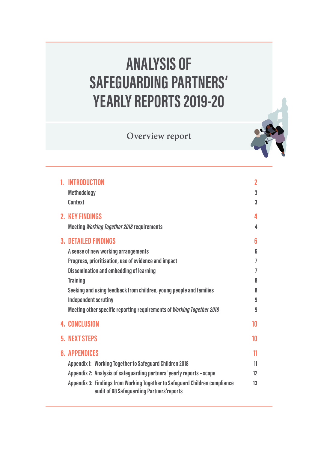# **ANALYSIS OF SAFEGUARDING PARTNERS' YEARLY REPORTS 2019-20**

**Overview report** 

| 1. INTRODUCTION<br><b>Methodology</b><br><b>Context</b>                                                                                                                                                                                                                                                                                                                         | $\overline{2}$<br>3<br>3             |
|---------------------------------------------------------------------------------------------------------------------------------------------------------------------------------------------------------------------------------------------------------------------------------------------------------------------------------------------------------------------------------|--------------------------------------|
| <b>2. KEY FINDINGS</b><br><b>Meeting Working Together 2018 requirements</b>                                                                                                                                                                                                                                                                                                     | 4<br>4                               |
| <b>3. DETAILED FINDINGS</b><br>A sense of new working arrangements<br>Progress, prioritisation, use of evidence and impact<br><b>Dissemination and embedding of learning</b><br><b>Training</b><br>Seeking and using feedback from children, young people and families<br><b>Independent scrutiny</b><br>Meeting other specific reporting requirements of Working Together 2018 | 6<br>6<br>7<br>7<br>8<br>8<br>9<br>9 |
| <b>4. CONCLUSION</b>                                                                                                                                                                                                                                                                                                                                                            | 10                                   |
| <b>5. NEXT STEPS</b>                                                                                                                                                                                                                                                                                                                                                            | 10                                   |
| <b>6. APPENDICES</b><br><b>Appendix 1: Working Together to Safeguard Children 2018</b><br>Appendix 2: Analysis of safeguarding partners' yearly reports - scope<br>Appendix 3: Findings from Working Together to Safeguard Children compliance<br>audit of 68 Safeguarding Partners'reports                                                                                     | 11<br>11<br>$12 \overline{ }$<br>13  |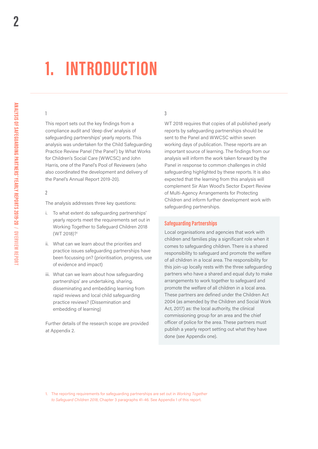# <span id="page-3-0"></span>**1. INTRODUCTION**

## 1

This report sets out the key findings from a compliance audit and 'deep dive' analysis of safeguarding partnerships' yearly reports. This analysis was undertaken for the Child Safeguarding Practice Review Panel ('the Panel') by What Works for Children's Social Care (WWCSC) and John Harris, one of the Panel's Pool of Reviewers (who also coordinated the development and delivery of the Panel's Annual Report 2019-20).

## 2

The analysis addresses three key questions:

- i. To what extent do safeguarding partnerships' yearly reports meet the requirements set out in Working Together to Safeguard Children 2018 (WT 2018)?1
- ii. What can we learn about the priorities and practice issues safeguarding partnerships have been focussing on? (prioritisation, progress, use of evidence and impact)
- iii. What can we learn about how safeguarding partnerships' are undertaking, sharing, disseminating and embedding learning from rapid reviews and local child safeguarding practice reviews? (Dissemination and embedding of learning)

Further details of the research scope are provided at Appendix 2.

# 3

WT 2018 requires that copies of all published yearly reports by safeguarding partnerships should be sent to the Panel and WWCSC within seven working days of publication. These reports are an important source of learning. The findings from our analysis will inform the work taken forward by the Panel in response to common challenges in child safeguarding highlighted by these reports. It is also expected that the learning from this analysis will complement Sir Alan Wood's Sector Expert Review of Multi-Agency Arrangements for Protecting Children and inform further development work with safeguarding partnerships.

### **Safeguarding Partnerships**

Local organisations and agencies that work with children and families play a significant role when it comes to safeguarding children. There is a shared responsibility to safeguard and promote the welfare of all children in a local area. The responsibility for this join-up locally rests with the three safeguarding partners who have a shared and equal duty to make arrangements to work together to safeguard and promote the welfare of all children in a local area. These partners are defined under the Children Act 2004 (as amended by the Children and Social Work Act, 2017) as: the local authority, the clinical commissioning group for an area and the chief oficer of police for the area. These partners must publish a yearly report setting out what they have done (see Appendix one).

1. The reporting requirements for safeguarding partnerships are set out in *Working Together to Safeguard Children 2018*, Chapter 3 paragraphs 41-46. See Appendix 1 of this report.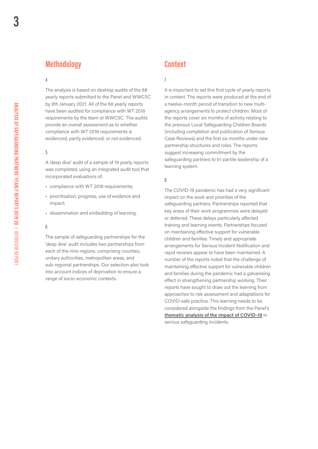# <span id="page-4-0"></span>**Methodology**

### 4

The analysis is based on desktop audits of the 68 yearly reports submitted to the Panel and WWCSC by 8th January 2021. All of the 68 yearly reports have been audited for compliance with WT 2018 requirements by the team at WWCSC. The audits provide an overall assessment as to whether compliance with WT 2018 requirements is evidenced; partly evidenced; or not evidenced.

#### 5

A 'deep dive' audit of a sample of 19 yearly reports was completed, using an integrated audit tool that incorporated evaluations of:

- compliance with WT 2018 requirements;
- prioritisation, progress, use of evidence and impact;
- dissemination and embedding of learning.

#### 6

The sample of safeguarding partnerships for the 'deep dive' audit includes two partnerships from each of the nine regions, comprising counties, unitary authorities, metropolitan areas, and sub-regional partnerships. Our selection also took into account indices of deprivation to ensure a range of socio-economic contexts.

# **Context**

## 7

 suggest increasing commitment by the It is important to set this first cycle of yearly reports in context. The reports were produced at the end of a twelve-month period of transition to new multiagency arrangements to protect children. Most of the reports cover six months of activity relating to the previous Local Safeguarding Children Boards (including completion and publication of Serious Case Reviews) and the first six months under new partnership structures and roles. The reports safeguarding partners to tri-partite leadership of a learning system.

## 8

The COVID-19 pandemic has had a very significant impact on the work and priorities of the safeguarding partners. Partnerships reported that key areas of their work programmes were delayed or deferred. These delays particularly affected training and learning events. Partnerships focused on maintaining effective support for vulnerable children and families. Timely and appropriate arrangements for Serious Incident Notification and rapid reviews appear to have been maintained. A number of the reports noted that the challenge of maintaining effective support for vulnerable children and families during the pandemic had a galvanising effect in strengthening partnership working. Their reports have sought to draw out the learning from approaches to risk assessment and adaptations for COVID-safe practice. This learning needs to be considered alongside the findings from the Panel's **[thematic analysis of the impact of COVID-19](https://mcusercontent.com/033d1bbae0e224ce244ef5c48/files/17352efb-4686-41fc-bfd5-35b7b2c787a6/CV19_Practice_Briefing_FINAL_JAN2021.pdf)** in serious safeguarding incidents.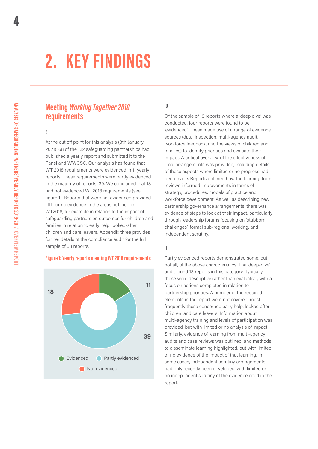# <span id="page-5-0"></span>**2. KEY FINDINGS**

# **Meeting** *Working Together 2018*  **requirements**

#### 9

At the cut off point for this analysis (8th January 2021), 68 of the 132 safeguarding partnerships had published a yearly report and submitted it to the Panel and WWCSC. Our analysis has found that WT 2018 requirements were evidenced in 11 yearly reports. These requirements were partly evidenced in the majority of reports: 39. We concluded that 18 had not evidenced WT2018 requirements (see figure 1). Reports that were not evidenced provided little or no evidence in the areas outlined in WT2018, for example in relation to the impact of safeguarding partners on outcomes for children and families in relation to early help, looked-after children and care leavers. Appendix three provides further details of the compliance audit for the full sample of 68 reports.

#### **Figure 1: Yearly reports meeting WT 2018 requirements**



### 10

Of the sample of 19 reports where a 'deep dive' was conducted, four reports were found to be 'evidenced'. These made use of a range of evidence sources (data, inspection, multi-agency audit, workforce feedback, and the views of children and families) to identify priorities and evaluate their impact. A critical overview of the efectiveness of local arrangements was provided, including details of those aspects where limited or no progress had been made. Reports outlined how the learning from reviews informed improvements in terms of strategy, procedures, models of practice and workforce development. As well as describing new partnership governance arrangements, there was evidence of steps to look at their impact, particularly through leadership forums focusing on 'stubborn challenges', formal sub-regional working, and independent scrutiny.

### 11

Partly evidenced reports demonstrated some, but not all, of the above characteristics. The 'deep-dive' audit found 13 reports in this category. Typically, these were descriptive rather than evaluative, with a focus on actions completed in relation to partnership priorities. A number of the required elements in the report were not covered: most frequently these concerned early help, looked after children, and care leavers. Information about multi-agency training and levels of participation was provided, but with limited or no analysis of impact. Similarly, evidence of learning from multi-agency audits and case reviews was outlined, and methods to disseminate learning highlighted, but with limited or no evidence of the impact of that learning. In some cases, independent scrutiny arrangements had only recently been developed, with limited or no independent scrutiny of the evidence cited in the report.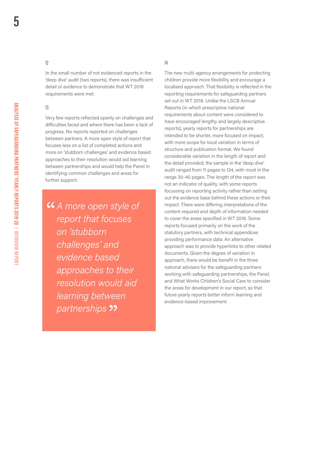## 12

In the small number of not evidenced reports in the 'deep dive' audit (two reports), there was insuficient detail or evidence to demonstrate that WT 2018 requirements were met.

#### 13

Very few reports reflected openly on challenges and dificulties faced and where there has been a lack of progress. No reports reported on challenges between partners. A more open style of report that focuses less on a list of completed actions and more on 'stubborn challenges' and evidence based approaches to their resolution would aid learning between partnerships and would help the Panel in identifying common challenges and areas for further support.

*A more open style of report that focuses on 'stubborn challenges' and evidence based approaches to their resolution would aid learning between partnerships* 

# 14

The new multi-agency arrangements for protecting children provide more flexibility and encourage a localised approach. That flexibility is reflected in the reporting requirements for safeguarding partners set out in WT 2018. Unlike the LSCB Annual Reports (in which prescriptive national requirements about content were considered to have encouraged lengthy and largely descriptive reports), yearly reports for partnerships are intended to be shorter, more focused on impact, with more scope for local variation in terms of structure and publication format. We found considerable variation in the length of report and the detail provided; the sample in the 'deep dive' audit ranged from 11 pages to 124, with most in the range 30-40 pages. The length of the report was not an indicator of quality, with some reports focussing on reporting activity rather than setting out the evidence base behind these actions or their impact. There were difering interpretations of the content required and depth of information needed to cover the areas specified in WT 2018. Some reports focused primarily on the work of the statutory partners, with technical appendices providing performance data. An alternative approach was to provide hyperlinks to other related documents. Given the degree of variation in approach, there would be benefit in the three national advisers for the safeguarding partners working with safeguarding partnerships, the Panel, and What Works Children's Social Care to consider the areas for development in our report, so that future yearly reports better inform learning and evidence-based improvement.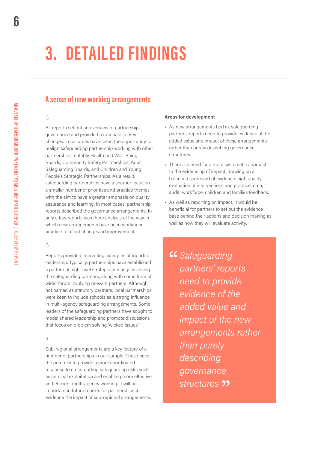# <span id="page-7-0"></span>**3. DETAILED FINDINGS**

# **A sense of new working arrangements**

# 15

 Safeguarding Boards, and Children and Young All reports set out an overview of partnership governance and provided a rationale for key changes. Local areas have taken the opportunity to realign safeguarding partnership working with other partnerships, notably Health and Well-Being Boards, Community Safety Partnerships, Adult People's Strategic Partnerships. As a result, safeguarding partnerships have a sharper focus on a smaller number of priorities and practice themes, with the aim to have a greater emphasis on quality assurance and learning. In most cases, partnership reports described the governance arrangements. In only a few reports was there analysis of the way in which new arrangements have been working in practice to afect change and improvement.

## 16

Reports provided interesting examples of tripartite leadership. Typically, partnerships have established a pattern of high-level strategic meetings involving the safeguarding partners, along with some form of wider forum involving relevant partners. Although not named as statutory partners, local partnerships were keen to include schools as a strong influence in multi-agency safeguarding arrangements. Some leaders of the safeguarding partners have sought to model shared leadership and promote discussions that focus on problem solving 'wicked issues'.

## 17

Sub-regional arrangements are a key feature of a number of partnerships in our sample. These have the potential to provide a more coordinated response to cross-cutting safeguarding risks such as criminal exploitation and enabling more efective and eficient multi-agency working. It will be important in future reports for partnerships to evidence the impact of sub-regional arrangements.

#### **Areas for development**

- As new arrangements bed in, safeguarding partners' reports need to provide evidence of the added value and impact of these arrangements rather than purely describing governance structures.
- There is a need for a more systematic approach to the evidencing of impact, drawing on a balanced scorecard of evidence: high quality evaluation of interventions and practice; data; audit; workforce; children and families feedback.
- As well as reporting on impact, it would be beneficial for partners to set out the evidence base behind their actions and decision making as well as how they will evaluate activity.

*Safeguarding partners' reports need to provide evidence of the added value and impact of the new arrangements rather than purely describing governance structures*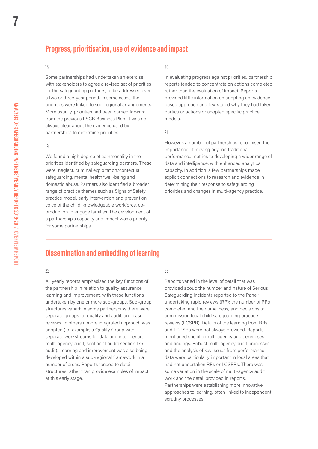# **Progress, prioritisation, use of evidence and impact**

#### 18

Some partnerships had undertaken an exercise with stakeholders to agree a revised set of priorities for the safeguarding partners, to be addressed over a two or three-year period. In some cases, the priorities were linked to sub-regional arrangements. More usually, priorities had been carried forward from the previous LSCB Business Plan. It was not always clear about the evidence used by partnerships to determine priorities.

#### 19

We found a high degree of commonality in the priorities identified by safeguarding partners. These were: neglect, criminal exploitation/contextual safeguarding, mental health/well-being and domestic abuse. Partners also identified a broader range of practice themes such as Signs of Safety practice model, early intervention and prevention, voice of the child, knowledgeable workforce, coproduction to engage families. The development of a partnership's capacity and impact was a priority for some partnerships.

## 20

In evaluating progress against priorities, partnership reports tended to concentrate on actions completed rather than the evaluation of impact. Reports provided little information on adopting an evidencebased approach and few stated why they had taken particular actions or adopted specific practice models.

### 21

However, a number of partnerships recognised the importance of moving beyond traditional performance metrics to developing a wider range of data and intelligence, with enhanced analytical capacity. In addition, a few partnerships made explicit connections to research and evidence in determining their response to safeguarding priorities and changes in multi-agency practice.

# **Dissemination and embedding of learning**

### 22

All yearly reports emphasised the key functions of the partnership in relation to quality assurance, learning and improvement, with these functions undertaken by one or more sub-groups. Sub-group structures varied: in some partnerships there were separate groups for quality and audit, and case reviews. In others a more integrated approach was adopted (for example, a Quality Group with separate workstreams for data and intelligence; multi-agency audit; section 11 audit; section 175 audit). Learning and improvement was also being developed within a sub-regional framework in a number of areas. Reports tended to detail structures rather than provide examples of impact at this early stage.

# 23

Reports varied in the level of detail that was provided about: the number and nature of Serious Safeguarding Incidents reported to the Panel; undertaking rapid reviews (RR); the number of RRs completed and their timeliness; and decisions to commission local child safeguarding practice reviews (LCSPR). Details of the learning from RRs and LCPSRs were not always provided. Reports mentioned specific multi-agency audit exercises and findings. Robust multi-agency audit processes and the analysis of key issues from performance data were particularly important in local areas that had not undertaken RRs or LCSPRs. There was some variation in the scale of multi-agency audit work and the detail provided in reports. Partnerships were establishing more innovative approaches to learning, often linked to independent scrutiny processes.

<span id="page-8-0"></span>**7**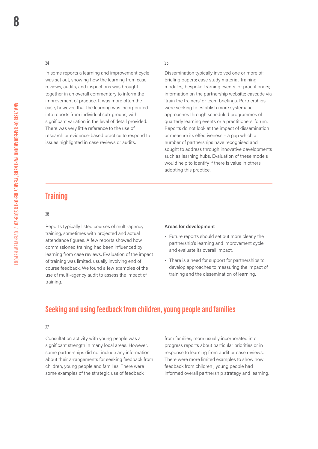#### <span id="page-9-0"></span>24

In some reports a learning and improvement cycle was set out, showing how the learning from case reviews, audits, and inspections was brought together in an overall commentary to inform the improvement of practice. It was more often the case, however, that the learning was incorporated into reports from individual sub-groups, with significant variation in the level of detail provided. There was very little reference to the use of research or evidence-based practice to respond to issues highlighted in case reviews or audits.

## 25

Dissemination typically involved one or more of: briefing papers; case study material; training modules; bespoke learning events for practitioners; information on the partnership website; cascade via 'train the trainers' or team briefings. Partnerships were seeking to establish more systematic approaches through scheduled programmes of quarterly learning events or a practitioners' forum. Reports do not look at the impact of dissemination or measure its efectiveness – a gap which a number of partnerships have recognised and sought to address through innovative developments such as learning hubs. Evaluation of these models would help to identify if there is value in others adopting this practice.

# **Training**

#### 26

Reports typically listed courses of multi-agency training, sometimes with projected and actual attendance figures. A few reports showed how commissioned training had been influenced by learning from case reviews. Evaluation of the impact of training was limited, usually involving end of course feedback. We found a few examples of the use of multi-agency audit to assess the impact of training.

#### **Areas for development**

- Future reports should set out more clearly the partnership's learning and improvement cycle and evaluate its overall impact.
- There is a need for support for partnerships to develop approaches to measuring the impact of training and the dissemination of learning.

# **Seeking and using feedback from children, young people and families**

# 27

Consultation activity with young people was a from families, more usually incorporated into significant strength in many local areas. However, progress reports about particular priorities or in some partnerships did not include any information response to learning from audit or case reviews. about their arrangements for seeking feedback from There were more limited examples to show how children, young people and families. There were feedback from children, young people had some examples of the strategic use of feedback informed overall partnership strategy and learning.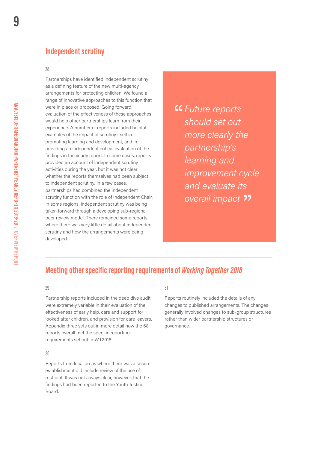# <span id="page-10-0"></span>**Independent scrutiny**

## 28

Partnerships have identified independent scrutiny as a defining feature of the new multi-agency arrangements for protecting children. We found a range of innovative approaches to this function that were in place or proposed. Going forward, evaluation of the efectiveness of these approaches would help other partnerships learn from their experience. A number of reports included helpful examples of the impact of scrutiny itself in promoting learning and development, and in providing an independent critical evaluation of the findings in the yearly report. In some cases, reports provided an account of independent scrutiny activities during the year, but it was not clear whether the reports themselves had been subject to independent scrutiny. In a few cases, partnerships had combined the independent scrutiny function with the role of Independent Chair. In some regions, independent scrutiny was being taken forward through a developing sub-regional peer review model. There remained some reports where there was very little detail about independent scrutiny and how the arrangements were being developed.

*Future reports should set out more clearly the partnership's learning and improvement cycle and evaluate its overall impact* 

# **Meeting other specific reporting requirements of** *Working Together 2018*

#### 29

Partnership reports included in the deep dive audit were extremely variable in their evaluation of the efectiveness of early help, care and support for looked after children, and provision for care leavers. Appendix three sets out in more detail how the 68 reports overall met the specific reporting requirements set out in WT2018.

#### 30

Reports from local areas where there was a secure establishment did include review of the use of restraint. It was not always clear, however, that the findings had been reported to the Youth Justice Board.

#### 31

Reports routinely included the details of any changes to published arrangements. The changes generally involved changes to sub-group structures rather than wider partnership structures or governance.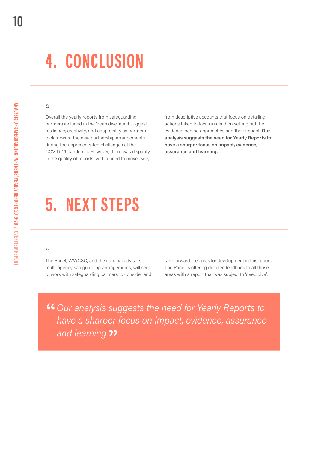# <span id="page-11-0"></span>**4. CONCLUSION**

### 32

Overall the yearly reports from safeguarding partners included in the 'deep dive' audit suggest resilience, creativity, and adaptability as partners took forward the new partnership arrangements during the unprecedented challenges of the COVID-19 pandemic. However, there was disparity in the quality of reports, with a need to move away

from descriptive accounts that focus on detailing actions taken to focus instead on setting out the evidence behind approaches and their impact. **Our analysis suggests the need for Yearly Reports to have a sharper focus on impact, evidence, assurance and learning.** 

# **5. NEXT STEPS**

### 33

The Panel, WWCSC, and the national advisers for take forward the areas for development in this report. multi-agency safeguarding arrangements, will seek The Panel is offering detailed feedback to all those to work with safeguarding partners to consider and areas with a report that was subject to 'deep dive'.

*Our analysis suggests the need for Yearly Reports to have a sharper focus on impact, evidence, assurance and learning*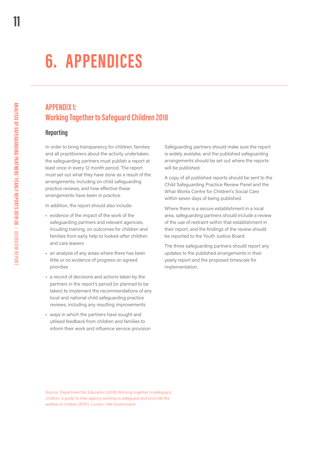# **6. APPENDICES**

# **APPENDIX 1: Working Together to Safeguard Children 2018**

# **Reporting**

In order to bring transparency for children, families and all practitioners about the activity undertaken, the safeguarding partners must publish a report at least once in every 12 month period. The report must set out what they have done as a result of the arrangements, including on child safeguarding practice reviews, and how effective these arrangements have been in practice.

In addition, the report should also include:

- evidence of the impact of the work of the safeguarding partners and relevant agencies, incuding training, on outcomes for children and families from early help to looked-after children and care leavers
- an analysis of any areas where there has been little or no evidence of progress on agreed priorities
- a record of decisions and actions taken by the partners in the report's period (or planned to be taken) to implement the recommendations of any local and national child safeguarding practice reviews, including any resulting improvements
- ways in which the partners have sought and utilised feedback from children and families to inform their work and influence service provision

Safeguarding partners should make sure the report is widely availabe, and the published safeguarding arrangements should be set out where the reports will be published.

A copy of all published reports should be sent to the Child Safeguarding Practice Review Panel and the What Works Centre for Children's Social Care within seven days of being published.

Where there is a secure establishment in a local area, safeguarding partners should include a review of the use of restraint within that establishment in their report, and the findings of the review should be reported to the Youth Justice Board.

The three safeguarding partners should report any updates to the published arrangements in their yearly report and the proposed timescale for implementation.

**ANALYSIS OF SAFEGUARDING PARTNERS' YEARLY REPORTS 2019-20 / OVERVIEW REPORT**

<span id="page-12-0"></span>**11** 

Source: Department for Education (2018) Working together to safeguard children: a guide to inter-agency working to safeguard and promote the welfare of children (PDF). London: HM Government.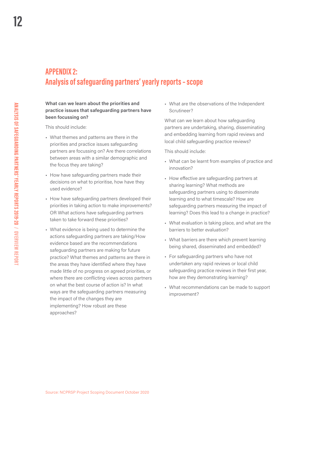# <span id="page-13-0"></span>**APPENDIX 2: Analysis of safeguarding partners' yearly reports – scope**

## **What can we learn about the priorities and practice issues that safeguarding partners have been focussing on?**

This should include:

- What themes and patterns are there in the priorities and practice issues safeguarding partners are focussing on? Are there correlations between areas with a similar demographic and the focus they are taking?
- How have safeguarding partners made their decisions on what to prioritise, how have they used evidence?
- How have safeguarding partners developed their priorities in taking action to make improvements? OR What actions have safeguarding partners taken to take forward these priorities?
- What evidence is being used to determine the actions safeguarding partners are taking/How evidence based are the recommendations safeguarding partners are making for future practice? What themes and patterns are there in the areas they have identified where they have made little of no progress on agreed priorities, or where there are conflicting views across partners on what the best course of action is? In what ways are the safeguarding partners measuring the impact of the changes they are implementing? How robust are these approaches?

• What are the observations of the Independent Scrutineer?

What can we learn about how safeguarding partners are undertaking, sharing, disseminating and embedding learning from rapid reviews and local child safeguarding practice reviews?

This should include:

- What can be learnt from examples of practice and innovation?
- How efective are safeguarding partners at sharing learning? What methods are safeguarding partners using to disseminate learning and to what timescale? How are safeguarding partners measuring the impact of learning? Does this lead to a change in practice?
- What evaluation is taking place, and what are the barriers to better evaluation?
- What barriers are there which prevent learning being shared, disseminated and embedded?
- For safeguarding partners who have not undertaken any rapid reviews or local child safeguarding practice reviews in their first year, how are they demonstrating learning?
- What recommendations can be made to support improvement?

Source: NCPRSP Project Scoping Document October 2020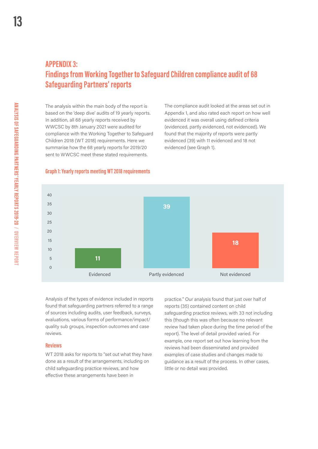# <span id="page-14-0"></span>**APPENDIX 3: Findings from Working Together to Safeguard Children compliance audit of 68 Safeguarding Partners' reports**

The analysis within the main body of the report is based on the 'deep dive' audits of 19 yearly reports. In addition, all 68 yearly reports received by WWCSC by 8th January 2021 were audited for compliance with the Working Together to Safeguard Children 2018 (WT 2018) requirements. Here we summarise how the 68 yearly reports for 2019/20 sent to WWCSC meet these stated requirements.

The compliance audit looked at the areas set out in Appendix 1, and also rated each report on how well evidenced it was overall using defined criteria (evidenced, partly evidenced, not evidenced). We found that the majority of reports were partly evidenced (39) with 11 evidenced and 18 not evidenced (see Graph 1).

# **Graph 1: Yearly reports meeting WT 2018 requirements**



Analysis of the types of evidence included in reports found that safeguarding partners referred to a range of sources including audits, user feedback, surveys, evaluations, various forms of performance/impact/ quality sub groups, inspection outcomes and case reviews.

#### **Reviews**

WT 2018 asks for reports to "set out what they have done as a result of the arrangements, including on child safeguarding practice reviews, and how efective these arrangements have been in

practice." Our analysis found that just over half of reports (35) contained content on child safeguarding practice reviews, with 33 not including this (though this was often because no relevant review had taken place during the time period of the report). The level of detail provided varied. For example, one report set out how learning from the reviews had been disseminated and provided examples of case studies and changes made to guidance as a result of the process. In other cases, little or no detail was provided.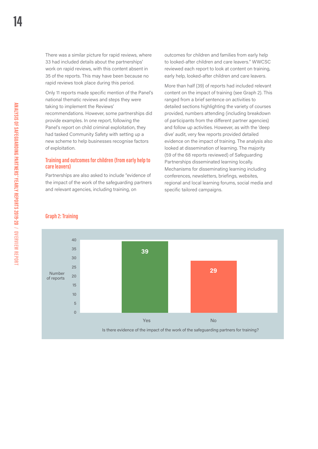There was a similar picture for rapid reviews, where 33 had included details about the partnerships' work on rapid reviews, with this content absent in 35 of the reports. This may have been because no rapid reviews took place during this period.

Only 11 reports made specific mention of the Panel's national thematic reviews and steps they were taking to implement the Reviews' recommendations. However, some partnerships did provide examples. In one report, following the Panel's report on child criminal exploitation, they had tasked Community Safety with setting up a new scheme to help businesses recognise factors of exploitation.

## **Training and outcomes for children (from early help to care leavers)**

Partnerships are also asked to include "evidence of the impact of the work of the safeguarding partners and relevant agencies, including training, on

outcomes for children and families from early help to looked-after children and care leavers." WWCSC reviewed each report to look at content on training, early help, looked-after children and care leavers.

More than half (39) of reports had included relevant content on the impact of training (see Graph 2). This ranged from a brief sentence on activities to detailed sections highlighting the variety of courses provided, numbers attending (including breakdown of participants from the diferent partner agencies) and follow up activities. However, as with the 'deep dive' audit, very few reports provided detailed evidence on the impact of training. The analysis also looked at dissemination of learning. The majority (59 of the 68 reports reviewed) of Safeguarding Partnerships disseminated learning locally. Mechanisms for disseminating learning including conferences, newsletters, briefings, websites, regional and local learning forums, social media and specific tailored campaigns.



## **Graph 2: Training**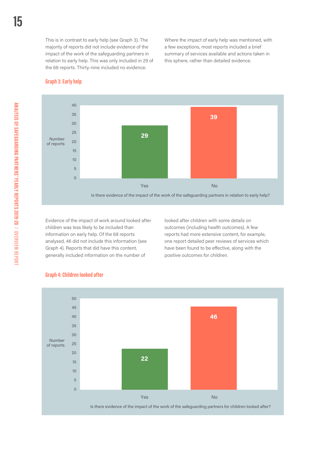Where the impact of early help was mentioned, with a few exceptions, most reports included a brief summary of services available and actions taken in this sphere, rather than detailed evidence.

#### **Graph 3: Early help**



Evidence of the impact of work around looked after children was less likely to be included than information on early help. Of the 68 reports analysed, 46 did not include this information (see Graph 4). Reports that did have this content, generally included information on the number of

looked after children with some details on outcomes (including health outcomes). A few reports had more extensive content, for example, one report detailed peer reviews of services which have been found to be efective, along with the positive outcomes for children.



## **Graph 4: Children looked after**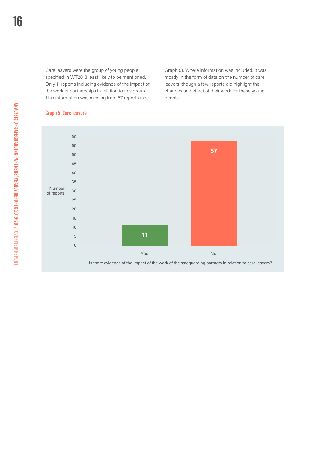Care leavers were the group of young people specified in WT2018 least likely to be mentioned. Only 11 reports including evidence of the impact of the work of partnerships in relation to this group. This information was missing from 57 reports (see

Graph 5). Where information was included, it was mostly in the form of data on the number of care leavers, though a few reports did highlight the changes and efect of their work for these young people.



# **Graph 5: Care leavers**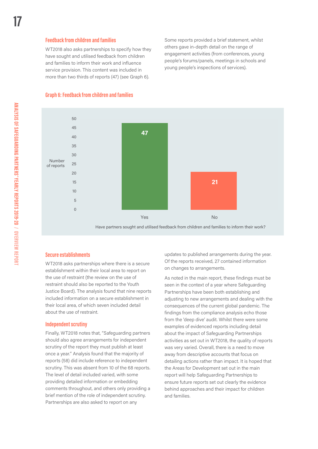### **Feedback from children and families**

WT2018 also asks partnerships to specify how they have sought and utilised feedback from children and families to inform their work and influence service provision. This content was included in more than two thirds of reports (47) (see Graph 6).

Some reports provided a brief statement, whilst others gave in-depth detail on the range of engagement activities (from conferences, young people's forums/panels, meetings in schools and young people's inspections of services).

# **Graph 6: Feedback from children and families**



## **Secure establishments**

WT2018 asks partnerships where there is a secure establishment within their local area to report on the use of restraint (the review on the use of restraint should also be reported to the Youth Justice Board). The analysis found that nine reports included information on a secure establishment in their local area, of which seven included detail about the use of restraint.

#### **Independent scrutiny**

Finally, WT2018 notes that, "Safeguarding partners should also agree arrangements for independent scrutiny of the report they must publish at least once a year." Analysis found that the majority of reports (58) did include reference to independent scrutiny. This was absent from 10 of the 68 reports. The level of detail included varied, with some providing detailed information or embedding comments throughout, and others only providing a brief mention of the role of independent scrutiny. Partnerships are also asked to report on any

updates to published arrangements during the year. Of the reports received, 27 contained information on changes to arrangements.

As noted in the main report, these findings must be seen in the context of a year where Safeguarding Partnerships have been both establishing and adjusting to new arrangements and dealing with the consequences of the current global pandemic. The findings from the compliance analysis echo those from the 'deep dive' audit. Whilst there were some examples of evidenced reports including detail about the impact of Safeguarding Partnerships activities as set out in WT2018, the quality of reports was very varied. Overall, there is a need to move away from descriptive accounts that focus on detailing actions rather than impact. It is hoped that the Areas for Development set out in the main report will help Safeguarding Partnerships to ensure future reports set out clearly the evidence behind approaches and their impact for children and families.